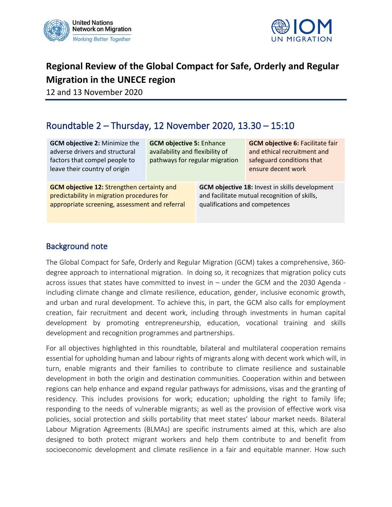



# **Regional Review of the Global Compact for Safe, Orderly and Regular Migration in the UNECE region**

12 and 13 November 2020

## Roundtable 2 – Thursday, 12 November 2020, 13.30 – 15:10

| <b>GCM objective 2: Minimize the</b><br>adverse drivers and structural<br>factors that compel people to<br>leave their country of origin | <b>GCM objective 5: Enhance</b><br>availability and flexibility of<br>pathways for regular migration |                                                       | <b>GCM objective 6: Facilitate fair</b><br>and ethical recruitment and<br>safeguard conditions that<br>ensure decent work |
|------------------------------------------------------------------------------------------------------------------------------------------|------------------------------------------------------------------------------------------------------|-------------------------------------------------------|---------------------------------------------------------------------------------------------------------------------------|
| <b>GCM objective 12: Strengthen certainty and</b>                                                                                        |                                                                                                      | <b>GCM objective 18: Invest in skills development</b> |                                                                                                                           |
| predictability in migration procedures for                                                                                               |                                                                                                      | and facilitate mutual recognition of skills,          |                                                                                                                           |
| appropriate screening, assessment and referral                                                                                           |                                                                                                      | qualifications and competences                        |                                                                                                                           |

#### Background note

The Global Compact for Safe, Orderly and Regular Migration (GCM) takes a comprehensive, 360 degree approach to international migration. In doing so, it recognizes that migration policy cuts across issues that states have committed to invest in – under the GCM and the 2030 Agenda including climate change and climate resilience, education, gender, inclusive economic growth, and urban and rural development. To achieve this, in part, the GCM also calls for employment creation, fair recruitment and decent work, including through investments in human capital development by promoting entrepreneurship, education, vocational training and skills development and recognition programmes and partnerships.

For all objectives highlighted in this roundtable, bilateral and multilateral cooperation remains essential for upholding human and labour rights of migrants along with decent work which will, in turn, enable migrants and their families to contribute to climate resilience and sustainable development in both the origin and destination communities. Cooperation within and between regions can help enhance and expand regular pathways for admissions, visas and the granting of residency. This includes provisions for work; education; upholding the right to family life; responding to the needs of vulnerable migrants; as well as the provision of effective work visa policies, social protection and skills portability that meet states' labour market needs. Bilateral Labour Migration Agreements (BLMAs) are specific instruments aimed at this, which are also designed to both protect migrant workers and help them contribute to and benefit from socioeconomic development and climate resilience in a fair and equitable manner. How such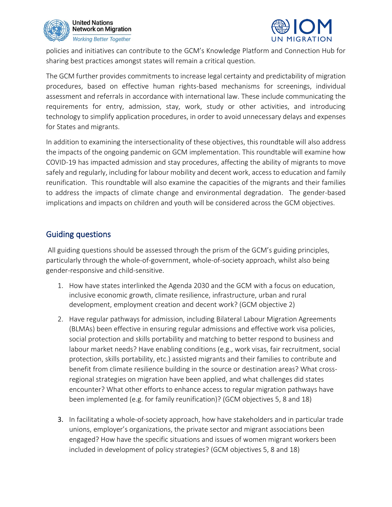



policies and initiatives can contribute to the GCM's Knowledge Platform and Connection Hub for sharing best practices amongst states will remain a critical question.

The GCM further provides commitments to increase legal certainty and predictability of migration procedures, based on effective human rights-based mechanisms for screenings, individual assessment and referrals in accordance with international law. These include communicating the requirements for entry, admission, stay, work, study or other activities, and introducing technology to simplify application procedures, in order to avoid unnecessary delays and expenses for States and migrants.

In addition to examining the intersectionality of these objectives, this roundtable will also address the impacts of the ongoing pandemic on GCM implementation. This roundtable will examine how COVID-19 has impacted admission and stay procedures, affecting the ability of migrants to move safely and regularly, including for labour mobility and decent work, access to education and family reunification. This roundtable will also examine the capacities of the migrants and their families to address the impacts of climate change and environmental degradation. The gender-based implications and impacts on children and youth will be considered across the GCM objectives.

#### Guiding questions

All guiding questions should be assessed through the prism of the GCM's guiding principles, particularly through the whole-of-government, whole-of-society approach, whilst also being gender-responsive and child-sensitive.

- 1. How have states interlinked the Agenda 2030 and the GCM with a focus on education, inclusive economic growth, climate resilience, infrastructure, urban and rural development, employment creation and decent work? (GCM objective 2)
- 2. Have regular pathways for admission, including Bilateral Labour Migration Agreements (BLMAs) been effective in ensuring regular admissions and effective work visa policies, social protection and skills portability and matching to better respond to business and labour market needs? Have enabling conditions (e.g., work visas, fair recruitment, social protection, skills portability, etc.) assisted migrants and their families to contribute and benefit from climate resilience building in the source or destination areas? What crossregional strategies on migration have been applied, and what challenges did states encounter? What other efforts to enhance access to regular migration pathways have been implemented (e.g. for family reunification)? (GCM objectives 5, 8 and 18)
- 3. In facilitating a whole-of-society approach, how have stakeholders and in particular trade unions, employer's organizations, the private sector and migrant associations been engaged? How have the specific situations and issues of women migrant workers been included in development of policy strategies? (GCM objectives 5, 8 and 18)